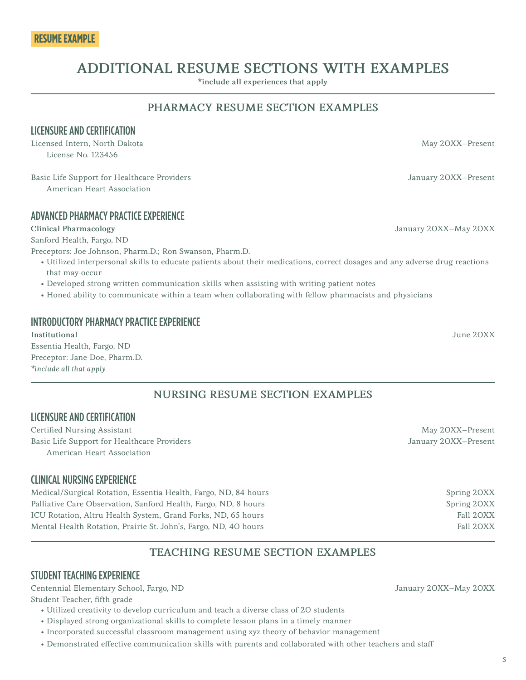# ADDITIONAL RESUME SECTIONS WITH EXAMPLES

\*include all experiences that apply

### PHARMACY RESUME SECTION EXAMPLES

#### LICENSURE AND CERTIFICATION

Licensed Intern, North Dakota May 2008. The Secret Assembly the May 2008. The May 2008 May 2008. License No. 123456

Basic Life Support for Healthcare Providers Support of the Support of Healthcare Providers January 20XX–Present American Heart Association

#### ADVANCED PHARMACY PRACTICE EXPERIENCE

Sanford Health, Fargo, ND

Preceptors: Joe Johnson, Pharm.D.; Ron Swanson, Pharm.D.

- Utilized interpersonal skills to educate patients about their medications, correct dosages and any adverse drug reactions that may occur
- Developed strong written communication skills when assisting with writing patient notes
- Honed ability to communicate within a team when collaborating with fellow pharmacists and physicians

#### INTRODUCTORY PHARMACY PRACTICE EXPERIENCE

Institutional June 20XX Essentia Health, Fargo, ND Preceptor: Jane Doe, Pharm.D. *\*include all that apply*

### NURSING RESUME SECTION EXAMPLES

#### LICENSURE AND CERTIFICATION

Certified Nursing Assistant May 20XX–Present Basic Life Support for Healthcare Providers January 20XX–Present American Heart Association

#### CLINICAL NURSING EXPERIENCE

Medical/Surgical Rotation, Essentia Health, Fargo, ND, 84 hours Service Spring 2008 Spring 20XX Palliative Care Observation, Sanford Health, Fargo, ND, 8 hours Spring 20XX Spring 20XX ICU Rotation, Altru Health System, Grand Forks, ND, 65 hours Fall 20XX Mental Health Rotation, Prairie St. John's, Fargo, ND, 40 hours Fall 20XX Fall 20XX

### TEACHING RESUME SECTION EXAMPLES

#### STUDENT TEACHING EXPERIENCE

Centennial Elementary School, Fargo, ND January 20XX–May 20XX

Student Teacher, fifth grade

- Utilized creativity to develop curriculum and teach a diverse class of 20 students
- Displayed strong organizational skills to complete lesson plans in a timely manner
- Incorporated successful classroom management using xyz theory of behavior management
- Demonstrated effective communication skills with parents and collaborated with other teachers and staff

Clinical Pharmacology January 20XX–May 20XX